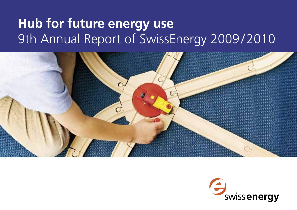# **Hub for future energy use** 9th Annual Report of SwissEnergy 2009/2010



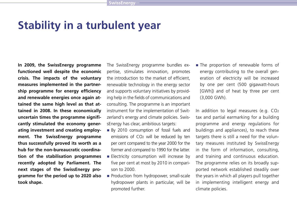### **Stability in a turbulent year**

**In 2009, the SwissEnergy programme functioned well despite the economic crisis. The impacts of the voluntary measures implemented in the partnership programme for energy efficiency and renewable energies once again attained the same high level as that attained in 2008. In these economically uncertain times the programme significantly stimulated the economy generating investment and creating employment. The SwissEnergy programme thus successfully proved its worth as a hub for the non-bureaucratic coordination of the stabilisation programmes recently adopted by Parliament. The next stages of the SwissEnergy programme for the period up to 2020 also took shape.**

The SwissEnergy programme bundles expertise, stimulates innovation, promotes the introduction to the market of efficient renewable technology in the energy sector and supports voluntary initiatives by providing help in the fields of communications and consulting. The programme is an important instrument for the implementation of Switzerland's energy and climate policies. SwissEnergy has clear, ambitious targets:

- By 2010 consumption of fossil fuels and emissions of CO2 will be reduced by ten per cent compared to the year 2000 for the former and compared to 1990 for the latter.
- **Electricity consumption will increase by** five per cent at most by 2010 in comparison to 2000.
- Production from hydropower, small-scale hydropower plants in particular, will be promoted further.

The proportion of renewable forms of energy contributing to the overall generation of electricity will be increased by one per cent (500 gigawatt-hours [GWh]) and of heat by three per cent (3,000 GWh).

In addition to legal measures (e.g. CO2 tax and partial earmarking for a building programme and energy regulations for buildings and appliances), to reach these targets there is still a need for the voluntary measures instituted by SwissEnergy in the form of information, consulting, and training and continuous education. The programme relies on its broadly supported network established steadily over the years in which all players pull together in implementing intelligent energy and climate policies.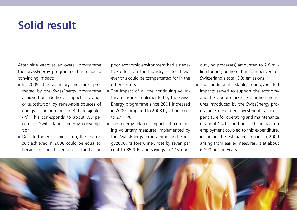### **Solid result**

After nine years as an overall programme the SwissEnergy programme has made a convincing impact:

- In 2009, the voluntary measures promoted by the SwissEnergy programme achieved an additional impact – savings or substitution by renewable sources of energy – amounting to 3.9 petajoules (PJ). This corresponds to about 0.5 per cent of Switzerland's energy consumption.
- Despite the economic slump, the fine result achieved in 2008 could be equalled because of the efficient use of funds. The

poor economic environment had a negative effect on the Industry sector, however this could be compensated for in the other sectors.

- The impact of all the continuing voluntary measures implemented by the Swiss-Energy programme since 2001 increased in 2009 compared to 2008 by 21 per cent to 27.1 PJ.
- The energy-related impact of continuing voluntary measures implemented by the SwissEnergy programme and Energy2000, its forerunner, rose by seven per cent to 35.9 PJ and savings in CO2 (incl.

outlying processes) amounted to 2.8 million tonnes, or more than four per cent of Switzerland's total CO<sub>2</sub> emissions.

The additional, stable, energy-related impacts served to support the economy and the labour market: Promotion measures introduced by the SwissEnergy programme generated investments and expenditure for operating and maintenance of about 1.4 billion francs. The impact on employment coupled to this expenditure, including the estimated impact in 2009 arising from earlier measures, is at about 6,800 person-years.

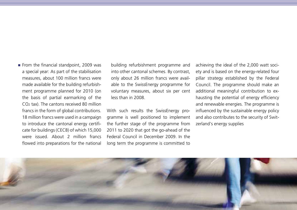From the financial standpoint, 2009 was a special year: As part of the stabilisation measures, about 100 million francs were made available for the building refurbishment programme planned for 2010 (on the basis of partial earmarking of the CO2 tax). The cantons received 80 million francs in the form of global contributions. 18 million francs were used in a campaign to introduce the cantonal energy certificate for buildings (CECB) of which 15,000 were issued. About 2 million francs flowed into preparations for the national building refurbishment programme and into other cantonal schemes. By contrast, only about 26 million francs were available to the SwissEnergy programme for voluntary measures, about six per cent less than in 2008.

With such results the SwissEnergy programme is well positioned to implement the further stage of the programme from 2011 to 2020 that got the go-ahead of the Federal Council in December 2009. In the long term the programme is committed to achieving the ideal of the 2,000 watt society and is based on the energy-related four pillar strategy established by the Federal Council. The programme should make an additional meaningful contribution to exhausting the potential of energy efficiency and renewable energies. The programme is influenced by the sustainable energy policy and also contributes to the security of Switzerland's energy supplies

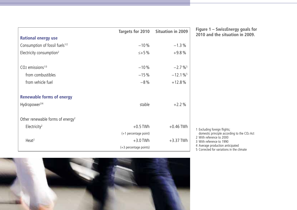|                                              | Targets for 2010       | Situation in 2009      | Figure 1 – SwissEnergy goals fo                                               |
|----------------------------------------------|------------------------|------------------------|-------------------------------------------------------------------------------|
| <b>Rational energy use</b>                   |                        |                        | 2010 and the situation in 2009                                                |
| Consumption of fossil fuels <sup>1/2</sup>   | $-10%$                 | $-1.3%$                |                                                                               |
| Electricity consumption <sup>2</sup>         | $\le +5\%$             | $+9.8%$                |                                                                               |
| $CO2$ emissions <sup>1/3</sup>               | $-10%$                 | $-2.7\%$ <sup>5</sup>  |                                                                               |
| from combustibles                            | $-15%$                 | $-12.1\%$ <sup>5</sup> |                                                                               |
| from vehicle fuel                            | $-8%$                  | $+12.8%$               |                                                                               |
| <b>Renewable forms of energy</b>             |                        |                        |                                                                               |
| Hydropower <sup>2/4</sup>                    | stable                 | $+2.2%$                |                                                                               |
| Other renewable forms of energy <sup>2</sup> |                        |                        |                                                                               |
| Electricity <sup>2</sup>                     | $+0.5$ TWh             | $+0.46$ TWh            | 1 Excluding foreign flights;                                                  |
|                                              | (+1 percentage point)  |                        | domestic principle according to the CO2 Act                                   |
| Heat <sup>2</sup>                            | $+3.0$ TWh             | $+3.37$ TWh            | 2 With reference to 2000<br>3 With reference to 1990                          |
|                                              | (+3 percentage points) |                        | 4 Average production anticipated<br>5 Corrected for variations in the climate |

**Figure 1 – SwissEnergy goals for**  and the situation in 2009.

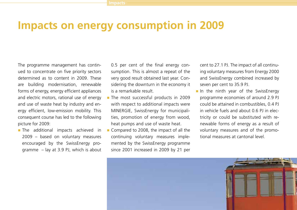### **Impacts on energy consumption in 2009**

The programme management has continued to concentrate on five priority sectors determined as to content in 2009. These are building modernisation, renewable forms of energy, energy efficient appliances and electric motors, rational use of energy and use of waste heat by industry and energy efficient, low-emission mobility. This consequent course has led to the following picture for 2009:

**The additional impacts achieved in** 2009 – based on voluntary measures encouraged by the SwissEnergy programme – lay at 3.9 PJ, which is about 0.5 per cent of the final energy consumption. This is almost a repeat of the very good result obtained last year. Considering the downturn in the economy it is a remarkable result.

- The most successful products in 2009 with respect to additional impacts were MINERGIE, SwissEnergy for municipalities, promotion of energy from wood, heat pumps and use of waste heat.
- Compared to 2008, the impact of all the continuing voluntary measures implemented by the SwissEnergy programme since 2001 increased in 2009 by 21 per

cent to 27.1 PJ. The impact of all continuing voluntary measures from Energy 2000 and SwissEnergy combined increased by seven per cent to 35.9 PJ.

In the ninth year of the SwissEnergy programme economies of around 2.9 PJ could be attained in combustibles, 0.4 PJ in vehicle fuels and about 0.6 PJ in electricity or could be substituted with renewable forms of energy as a result of voluntary measures and of the promotional measures at cantonal level.

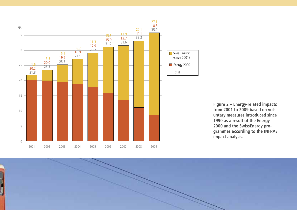



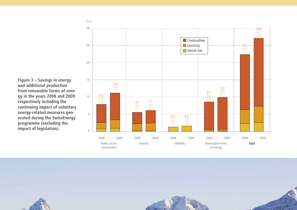**Figure 3 – Savings in energy and additional production from renewable forms of energy in the years 2008 and 2009 respectively including the continuing impact of voluntary energy-related measures generated during the SwissEnergy programme (excluding the impact of legislation).**



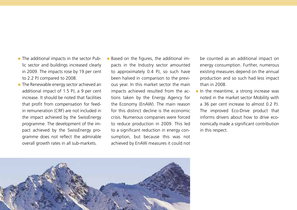- The additional impacts in the sector Public sector and buildings increased clearly in 2009. The impacts rose by 19 per cent to 2.2 PJ compared to 2008.
- The Renewable energy sector achieved an additional impact of 1.5 PJ, a 9 per cent increase. It should be noted that facilities that profit from compensation for feedin remuneration (CRF) are not included in the impact achieved by the SwissEnergy programme. The development of the impact achieved by the SwissEnergy programme does not reflect the admirable overall growth rates in all sub-markets.
- Based on the figures, the additional impacts in the Industry sector amounted to approximately 0.4 PJ, so such have been halved in comparison to the previous year. In this market sector the main impacts achieved resulted from the actions taken by the Energy Agency for the Economy (EnAW). The main reason for this distinct decline is the economic crisis. Numerous companies were forced to reduce production in 2009. This led to a significant reduction in energy consumption, but because this was not achieved by EnAW measures it could not

be counted as an additional impact on energy consumption. Further, numerous existing measures depend on the annual production and so such had less impact than in 2008.

 $\blacksquare$  In the meantime, a strong increase was noted in the market sector Mobility with a 36 per cent increase to almost 0.2 PJ. The improved Eco-Drive product that informs drivers about how to drive economically made a significant contribution in this respect.

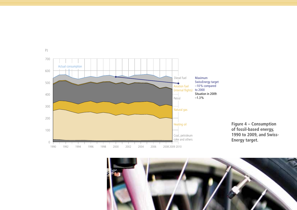



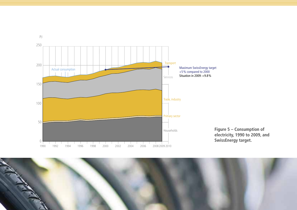



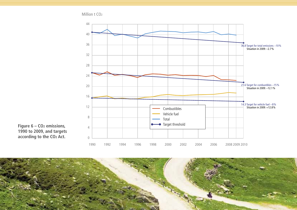Million t CO2



Figure 6 – CO<sub>2</sub> emissions, **1990 to 2009, and targets according to the CO2 Act.**

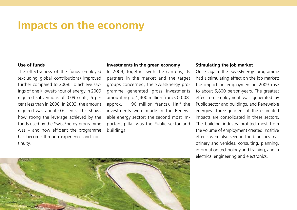### **Impacts on the economy**

#### **Use of funds**

The effectiveness of the funds employed (excluding global contributions) improved further compared to 2008: To achieve savings of one kilowatt-hour of energy in 2009 required subventions of 0.09 cents, 6 per cent less than in 2008. In 2003, the amount required was about 0.6 cents. This shows how strong the leverage achieved by the funds used by the SwissEnergy programme was – and how efficient the programme has become through experience and continuity.

#### **Investments in the green economy**

In 2009, together with the cantons, its partners in the market and the target groups concerned, the SwissEnergy programme generated gross investments amounting to 1,400 million francs (2008: approx. 1,190 million francs). Half the investments were made in the Renewable energy sector; the second most important pillar was the Public sector and buildings.

#### **Stimulating the job market**

Once again the SwissEnergy programme had a stimulating effect on the job market: the impact on employment in 2009 rose to about 6,800 person-years. The greatest effect on employment was generated by Public sector and buildings, and Renewable energies. Three-quarters of the estimated impacts are consolidated in these sectors. The building industry profited most from the volume of employment created. Positive effects were also seen in the branches machinery and vehicles, consulting, planning, information technology and training, and in electrical engineering and electronics.

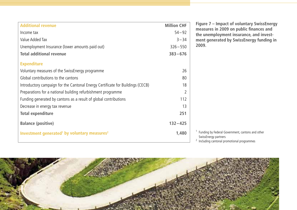| <b>Additional revenue</b>                                                      | <b>Million CHF</b> |
|--------------------------------------------------------------------------------|--------------------|
| Income tax                                                                     | $54 - 92$          |
| Value Added Tax                                                                | $3 - 34$           |
| Unemployment Insurance (lower amounts paid out)                                | $326 - 550$        |
| <b>Total additional revenue</b>                                                | $383 - 676$        |
| <b>Expenditure</b>                                                             |                    |
| Voluntary measures of the SwissEnergy programme                                | 26                 |
| Global contributions to the cantons                                            | 80                 |
| Introductory campaign for the Cantonal Energy Certificate for Buildings (CECB) | 18                 |
| Preparations for a national building refurbishment programme                   | $\mathfrak{D}$     |
| Funding generated by cantons as a result of global contributions               | 112                |
| Decrease in energy tax revenue                                                 | 13                 |
| <b>Total expenditure</b>                                                       | 251                |
| <b>Balance (positive)</b>                                                      | $132 - 425$        |
| Investment generated <sup>1</sup> by voluntary measures <sup>2</sup>           | 1,480              |
|                                                                                |                    |

**Figure 7 – Impact of voluntary SwissEnergy measures in 2009 on public finances and the unemployment insurance, and investment generated by SwissEnergy funding in 2009.**

- <sup>1</sup> Funding by Federal Government, cantons and other SwissEnergy partners
- <sup>2</sup> Including cantonal promotional programmes

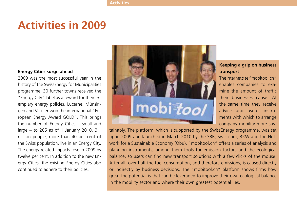### **Activities in 2009**

#### **Energy Cities surge ahead**

2009 was the most successful year in the history of the SwissEnergy for Municipalities programme. 30 further towns received the "Energy City" label as a reward for their exemplary energy policies. Lucerne, Münsingen and Vernier won the international "European Energy Award GOLD". This brings the number of Energy Cities – small and large – to 205 as of 1 January 2010. 3.1 million people, more than 40 per cent of the Swiss population, live in an Energy City. The energy-related impacts rose in 2009 by twelve per cent. In addition to the new Energy Cities, the existing Energy Cities also continued to adhere to their policies.



#### **Keeping a grip on business transport**

The Internet site "mobitool.ch" enables companies to examine the amount of traffic their businesses cause. At the same time they receive advice and useful instruments with which to arrange company mobility more sus-

tainably. The platform, which is supported by the SwissEnergy programme, was set up in 2009 and launched in March 2010 by the SBB, Swisscom, BKW and the Network for a Sustainable Economy (Öbu). "mobitool.ch" offers a series of analysis and planning instruments, among them tools for emission factors and the ecological balance, so users can find new transport solutions with a few clicks of the mouse. After all, over half the fuel consumption, and therefore emissions, is caused directly or indirectly by business decisions. The "mobitool.ch" platform shows firms how great the potential is that can be leveraged to improve their own ecological balance in the mobility sector and where their own greatest potential lies.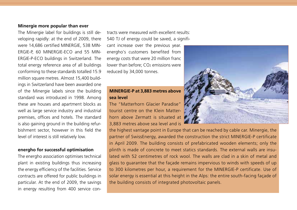#### **Minergie more popular than ever**

The Minergie label for buildings is still developing rapidly: at the end of 2009, there were 14,686 certified MINERGIE, 538 MIN-ERGIE-P, 60 MINERGIE-ECO and 55 MIN-ERGIE-P-ECO buildings in Switzerland. The total energy reference area of all buildings conforming to these standards totalled 15.9 million square metres. Almost 15,400 buildings in Switzerland have been awarded one of the Minergie labels since the building standard was introduced in 1998. Among these are houses and apartment blocks as well as large service industry and industrial premises, offices and hotels. The standard is also gaining ground in the building refurbishment sector, however in this field the level of interest is still relatively low.

#### **energho for successful optimisation**

The energho association optimises technical plant in existing buildings thus increasing the energy efficiency of the facilities. Service contracts are offered for public buildings in particular. At the end of 2009, the savings in energy resulting from 400 service contracts were measured with excellent results: 540 TJ of energy could be saved, a significant increase over the previous year. energho's customers benefited from energy costs that were 20 million franc lower than before: CO<sub>2</sub> emissions were reduced by 34,000 tonnes.

#### **MINERGIE-P at 3,883 metres above sea level**

The "Matterhorn Glacier Paradise" tourist centre on the Klein Matterhorn above Zermatt is situated at 3,883 metres above sea level and is

the highest vantage point in Europe that can be reached by cable car. Minergie, the partner of SwissEnergy, awarded the construction the strict MINERGIE-P certificate in April 2009. The building consists of prefabricated wooden elements; only the plinth is made of concrete to meet statics standards. The external walls are insulated with 52 centimetres of rock wool. The walls are clad in a skin of metal and glass to guarantee that the façade remains impervious to winds with speeds of up to 300 kilometres per hour, a requirement for the MINERGIE-P certificate. Use of solar energy is essential at this height in the Alps: the entire south-facing façade of the building consists of integrated photovoltaic panels.

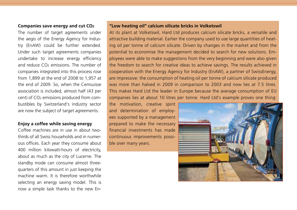#### **Companies save energy and cut CO2**

The number of target agreements under the aegis of the Energy Agency for Industry (EnAW) could be further extended. Under such target agreements companies undertake to increase energy efficiency and reduce  $CO<sub>2</sub>$  emissions. The number of companies integrated into this process rose from 1,899 at the end of 2008 to 1,957 at the end of 2009. So, when the Cemsuisse association is included, almost half (43 per cent) of CO2 emissions produced from combustibles by Switzerland's industry sector are now the subject of target agreements.

#### **Enjoy a coffee while saving energy**

Coffee machines are in use in about twothirds of all Swiss households and in numerous offices. Each year they consume about 400 million kilowatt-hours of electricity, about as much as the city of Lucerne. The standby mode can consume almost threequarters of this amount in just keeping the machine warm. It is therefore worthwhile selecting an energy saving model. This is now a simple task thanks to the new En-

#### **"Low heating oil" calcium silicate bricks in Volketswil**

At its plant at Volketswil, Hard Ltd produces calcium silicate bricks, a versatile and attractive building material. Earlier the company used to use large quantities of heating oil per tonne of calcium silicate. Driven by changes in the market and from the potential to economise the management decided to search for new solutions. Employees were able to make suggestions from the very beginning and were also given the freedom to search for creative ideas to achieve savings. The results achieved in cooperation with the Energy Agency for Industry (EnAW), a partner of SwissEnergy, are impressive: the consumption of heating oil per tonne of calcium silicate produced was more than halved in 2009 in comparison to 2003 and now lies at 7.5 litres. This makes Hard Ltd the leader in Europe because the average consumption of EU companies lies at about 10 litres per tonne. Hard Ltd's example proves one thing:

the motivation, creative spirit and determination of employees supported by a management prepared to make the necessary financial investments has made continuous improvements possible over many years.

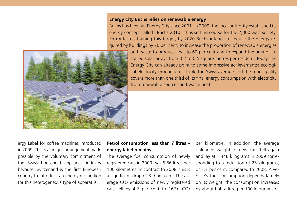#### **Energy City Buchs relies on renewable energy**

Buchs has been an Energy City since 2001. In 2009, the local authority established its energy concept called "Buchs 2010" thus setting course for the 2,000 watt society. En route to attaining this target, by 2020 Buchs intends to reduce the energy required by buildings by 20 per cent, to increase the proportion of renewable energies



and waste to produce heat to 60 per cent and to expand the area of installed solar arrays from 0.2 to 0.5 square metres per resident. Today, the Energy City can already point to some impressive achievements: ecological electricity production is triple the Swiss average and the municipality covers more than one third of its final energy consumption with electricity from renewable sources and waste heat.

ergy Label for coffee machines introduced in 2009. This is a unique arrangement made possible by the voluntary commitment of the Swiss household appliance industry because Switzerland is the first European country to introduce an energy declaration for this heterogeneous type of apparatus.

#### **Petrol consumption less than 7 litres – energy label remains**

The average fuel consumption of newly registered cars in 2009 was 6.86 litres per 100 kilometres. In contrast to 2008, this is a significant drop of 3.9 per cent. The average CO2 emissions of newly registered cars fell by 4.6 per cent to 167 g CO<sub>2</sub> per kilometre. In addition, the average unloaded weight of new cars fell again and lay at 1,448 kilograms in 2009 corresponding to a reduction of 25 kilograms, or 1.7 per cent, compared to 2008. A vehicle's fuel consumption depends largely on its weight: the consumption increases by about half a litre per 100 kilograms of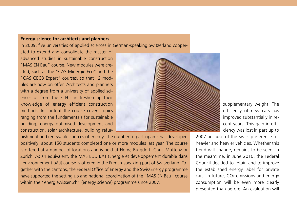#### **Energy science for architects and planners**

In 2009, five universities of applied sciences in German-speaking Switzerland cooper-

ated to extend and consolidate the master of advanced studies in sustainable construction "MAS EN Bau" course. New modules were created, such as the "CAS Minergie Eco" and the "CAS CECB Expert" courses, so that 12 modules are now on offer. Architects and planners with a degree from a university of applied sciences or from the ETH can freshen up their knowledge of energy efficient construction methods. In content the course covers topics ranging from the fundamentals for sustainable building, energy optimised development and construction, solar architecture, building refur-



bishment and renewable sources of energy. The number of participants has developed positively: about 150 students completed one or more modules last year. The course is offered at a number of locations and is held at Horw, Burgdorf, Chur, Muttenz or Zurich. As an equivalent, the MAS EDD BAT (Energie et développement durable dans l'environnement bâti) course is offered in the French-speaking part of Switzerland. Together with the cantons, the Federal Office of Energy and the SwissEnergy programme have supported the setting up and national coordination of the "MAS EN Bau" course within the "energiewissen.ch" (energy science) programme since 2007.

supplementary weight. The efficiency of new cars has improved substantially in recent years. This gain in efficiency was lost in part up to

2007 because of the Swiss preference for heavier and heavier vehicles. Whether this trend will change, remains to be seen. In the meantime, in June 2010, the Federal Council decided to retain and to improve the established energy label for private cars. In future, CO2 emissions and energy consumption will be even more clearly presented than before. An evaluation will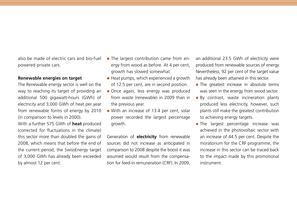also be made of electric cars and bio-fuel powered private cars.

#### **Renewable energies on target**

The Renewable energy sector is well on the way to reaching its target of providing an additional 500 gigawatt-hours (GWh) of electricity and 3,000 GWh of heat per year from renewable forms of energy by 2010 (in comparison to levels in 2000).

With a further 575 GWh of **heat** produced (corrected for fluctuations in the climate) this sector more than doubled the gains of 2008, which means that before the end of the current period, the SwissEnergy target of 3,000 GWh has already been exceeded by almost 12 per cent.

- The largest contribution came from energy from wood as before. At 4 per cent, growth has slowed somewhat.
- $\blacksquare$  Heat pumps, which experienced a growth of 12.5 per cent, are in second position.
- Once again, less energy was produced from waste (renewable) in 2009 than in the previous year.
- With an increase of 13.4 per cent, solar power recorded the largest percentage growth.

Generation of **electricity** from renewable sources did not increase as anticipated in comparison to 2008 despite the boost it was assumed would result from the compensation for feed-in remuneration (CRF). In 2009,

an additional 23.5 GWh of electricity were produced from renewable sources of energy Nevertheless, 92 per cent of the target value has already been attained in this sector.

- **The greatest increase in absolute terms** was seen in the energy from wood sector.
- **By contrast, waste incineration plants** produced less electricity, however, such plants still make the greatest contribution to achieving energy targets.
- **The largest percentage increase was** achieved in the photovoltaic sector with an increase of 44.5 per cent. Despite the moratorium for the CRF programme, the increase in this sector can be traced back to the impact made by this promotional instrument.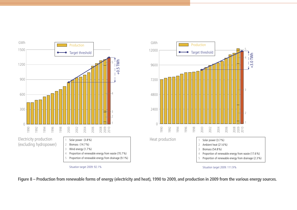

**Figure 8 – Production from renewable forms of energy (electricity and heat), 1990 to 2009, and production in 2009 from the various energy sources.**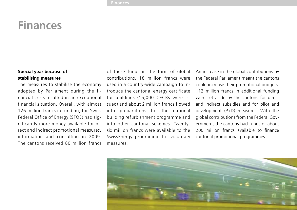### **Finances**

#### **Special year because of stabilising measures**

The measures to stabilise the economy adopted by Parliament during the financial crisis resulted in an exceptional financial situation. Overall, with almost 126 million francs in funding, the Swiss Federal Office of Energy (SFOE) had significantly more money available for direct and indirect promotional measures, information and consulting in 2009. The cantons received 80 million francs

of these funds in the form of global contributions. 18 million francs were used in a country-wide campaign to introduce the cantonal energy certificate for buildings (15,000 CECBs were issued) and about 2 million francs flowed into preparations for the national building refurbishment programme and into other cantonal schemes. Twentysix million francs were available to the SwissEnergy programme for voluntary measures.

An increase in the global contributions by the Federal Parliament meant the cantons could increase their promotional budgets: 112 million francs in additional funding were set aside by the cantons for direct and indirect subsidies and for pilot and development (P+D) measures. With the global contributions from the Federal Government, the cantons had funds of about 200 million francs available to finance cantonal promotional programmes.

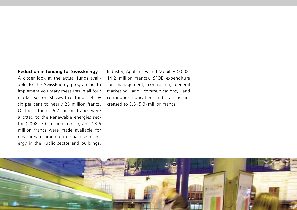#### **Reduction in funding for SwissEnergy**

A closer look at the actual funds available to the SwissEnergy programme to implement voluntary measures in all four market sectors shows that funds fell by six per cent to nearly 26 million francs. Of these funds, 6.7 million francs were allotted to the Renewable energies sector (2008: 7.0 million francs), and 13.6 million francs were made available for measures to promote rational use of energy in the Public sector and buildings,

Industry, Appliances and Mobility (2008: 14.2 million francs). SFOE expenditure for management, controlling, general marketing and communications, and continuous education and training increased to 5.5 (5.3) million francs.

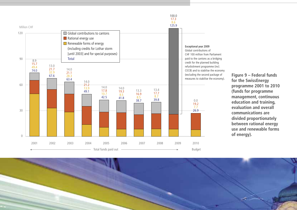

**Figure 9 – Federal funds for the SwissEnergy programme 2001 to 2010 (funds for programme management, continuous education and training, evaluation and overall communications are divided proportionately between rational energy use and renewable forms of energy).**

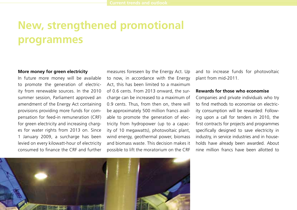## **New, strengthened promotional programmes**

#### **More money for green electricity**

In future more money will be available to promote the generation of electricity from renewable sources. In the 2010 summer session, Parliament approved an amendment of the Energy Act containing provisions providing more funds for compensation for feed-in remuneration (CRF) for green electricity and increasing charges for water rights from 2013 on. Since 1 January 2009, a surcharge has been levied on every kilowatt-hour of electricity consumed to finance the CRF and further

measures foreseen by the Energy Act. Up to now, in accordance with the Energy Act, this has been limited to a maximum of 0.6 cents. From 2013 onward, the surcharge can be increased to a maximum of 0.9 cents. Thus, from then on, there will be approximately 500 million francs available to promote the generation of electricity from hydropower (up to a capacity of 10 megawatts), photovoltaic plant, wind energy, geothermal power, biomass and biomass waste. This decision makes it possible to lift the moratorium on the CRF

and to increase funds for photovoltaic plant from mid-2011.

#### **Rewards for those who economise**

Companies and private individuals who try to find methods to economise on electricity consumption will be rewarded: Following upon a call for tenders in 2010, the first contracts for projects and programmes specifically designed to save electricity in industry, in service industries and in households have already been awarded. About nine million francs have been allotted to

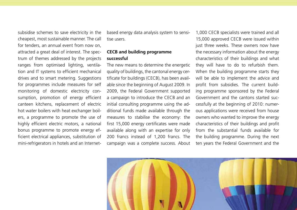subsidise schemes to save electricity in the cheapest, most sustainable manner. The call for tenders, an annual event from now on attracted a great deal of interest. The spectrum of themes addressed by the projects ranges from optimised lighting, ventilation and IT systems to efficient mechanical drives and to smart metering. Suggestions for programmes include measures for self monitoring of domestic electricity consumption, promotion of energy efficient canteen kitchens, replacement of electric hot water boilers with heat exchanger boilers, a programme to promote the use of highly efficient electric motors, a national bonus programme to promote energy efficient electrical appliances, substitution of mini-refrigerators in hotels and an Internetbased energy data analysis system to sensitise users.

#### **CECB and building programme successful**

The new means to determine the energetic quality of buildings, the cantonal energy certificate for buildings (CECB), has been available since the beginning of August 2009. In 2009, the Federal Government supported a campaign to introduce the CECB and an initial consulting programme using the additional funds made available through the measures to stabilise the economy: the first 15,000 energy certificates were made available along with an expertise for only 200 francs instead of 1,200 francs. The campaign was a complete success. About 1,000 CECB specialists were trained and all 15,000 approved CECB were issued within just three weeks. These owners now have the necessary information about the energy characteristics of their buildings and what they will have to do to refurbish them. When the building programme starts they will be able to implement the advice and profit from subsidies. The current building programme sponsored by the Federal Government and the cantons started successfully at the beginning of 2010: numerous applications were received from house owners who wanted to improve the energy characteristics of their buildings and profit from the substantial funds available for the building programme. During the next ten years the Federal Government and the

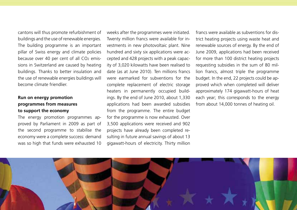cantons will thus promote refurbishment of buildings and the use of renewable energies. The building programme is an important pillar of Swiss energy and climate policies because over 40 per cent of all CO<sub>2</sub> emissions in Switzerland are caused by heating buildings. Thanks to better insulation and the use of renewable energies buildings will become climate friendlier.

#### **Run on energy promotion programmes from measures to support the economy**

The energy promotion programmes approved by Parliament in 2009 as part of the second programme to stabilise the economy were a complete success: demand was so high that funds were exhausted 10

weeks after the programmes were initiated. Twenty million francs were available for investments in new photovoltaic plant. Nine hundred and sixty six applications were accepted and 428 projects with a peak capacity of 3,020 kilowatts have been realised to date (as at June 2010). Ten millions francs were earmarked for subventions for the complete replacement of electric storage heaters in permanently occupied buildings. By the end of June 2010, about 1,330 applications had been awarded subsidies from the programme. The entire budget for the programme is now exhausted. Over 3,500 applications were received and 902 projects have already been completed resulting in future annual savings of about 13 gigawatt-hours of electricity. Thirty million francs were available as subventions for district heating projects using waste heat and renewable sources of energy. By the end of June 2009, applications had been received for more than 100 district heating projects requesting subsidies in the sum of 80 million francs, almost triple the programme budget. In the end, 22 projects could be approved which when completed will deliver approximately 174 gigawatt-hours of heat each year; this corresponds to the energy from about 14,000 tonnes of heating oil.

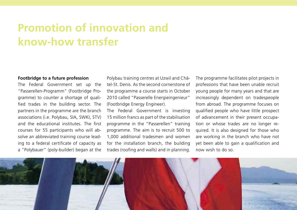## **Promotion of innovation and know-how transfer**

#### **Footbridge to a future profession**

The Federal Government set up the "Passerellen-Programm" (Footbridge Programme) to counter a shortage of qualified trades in the building sector. The partners in the programme are the branch associations (i.e. Polybau, SIA, SWKI, STV) and the educational institutes. The first courses for 55 participants who will absolve an abbreviated training course leading to a federal certificate of capacity as a "Polybauer" (poly-builder) began at the

Polybau training centres at Uzwil and Châtel-St. Denis. As the second cornerstone of the programme a course starts in October 2010 called "Passerelle Energieingenieur" (Footbridge Energy Engineer).

The Federal Government is investing 15 million francs as part of the stabilisation programme in the "Passerellen" training programme. The aim is to recruit 500 to 1,000 additional tradesmen and women for the installation branch, the building trades (roofing and walls) and in planning.

The programme facilitates pilot projects in professions that have been unable recruit young people for many years and that are increasingly dependent on tradespeople from abroad. The programme focuses on qualified people who have little prospect of advancement in their present occupation or whose trades are no longer required. It is also designed for those who are working in the branch who have not yet been able to gain a qualification and now wish to do so.

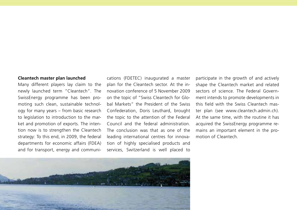#### **Cleantech master plan launched**

Many different players lay claim to the newly launched term "Cleantech". The SwissEnergy programme has been promoting such clean, sustainable technology for many years – from basic research to legislation to introduction to the market and promotion of exports. The intention now is to strengthen the Cleantech strategy: To this end, in 2009, the federal departments for economic affairs (FDEA) and for transport, energy and communi-

cations (FDETEC) inaugurated a master plan for the Cleantech sector. At the innovation conference of 5 November 2009 on the topic of "Swiss Cleantech for Global Markets" the President of the Swiss Confederation, Doris Leuthard, brought the topic to the attention of the Federal Council and the federal administration. The conclusion was that as one of the leading international centres for innovation of highly specialised products and services, Switzerland is well placed to participate in the growth of and actively shape the Cleantech market and related sectors of science. The Federal Government intends to promote developments in this field with the Swiss Cleantech master plan (see www.cleantech.admin.ch). At the same time, with the routine it has acquired the SwissEnergy programme remains an important element in the promotion of Cleantech.

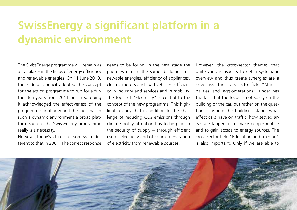## **SwissEnergy a significant platform in a dynamic environment**

The SwissEnergy programme will remain as a trailblazer in the fields of energy efficiency and renewable energies. On 11 June 2010, the Federal Council adopted the concept for the action programme to run for a further ten years from 2011 on. In so doing it acknowledged the effectiveness of the programme until now and the fact that in such a dynamic environment a broad platform such as the SwissEnergy programme really is a necessity.

However, today's situation is somewhat different to that in 2001. The correct response

needs to be found. In the next stage the priorities remain the same: buildings, renewable energies, efficiency of appliances, electric motors and road vehicles, efficiency in industry and services and in mobility. The topic of "Electricity" is central to the concept of the new programme: This highlights clearly that in addition to the challenge of reducing CO2 emissions through climate policy attention has to be paid to the security of supply – through efficient use of electricity and of course generation of electricity from renewable sources.

However, the cross-sector themes that unite various aspects to get a systematic overview and thus create synergies are a new task. The cross-sector field "Municipalities and agglomerations" underlines the fact that the focus is not solely on the building or the car, but rather on the question of where the buildings stand, what effect cars have on traffic, how settled areas are tapped in to make people mobile and to gain access to energy sources. The cross-sector field "Education and training" is also important. Only if we are able to

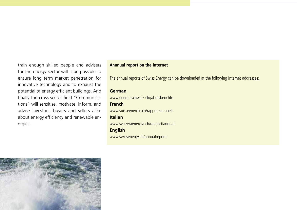train enough skilled people and advisers for the energy sector will it be possible to ensure long term market penetration for innovative technology and to exhaust the potential of energy efficient buildings. And finally the cross-sector field "Communications" will sensitise, motivate, inform, and advise investors, buyers and sellers alike about energy efficiency and renewable energies.

#### **Annnual report on the Internet**

The annual reports of Swiss Energy can be downloaded at the following Internet addresses:

#### **German**

www.energieschweiz.ch/jahresberichte **French** www.suisseenergie.ch/rapportsannuels **Italian** www.svizzeraenergia.ch/rapportiannuali **English** www.swissenergy.ch/annualreports